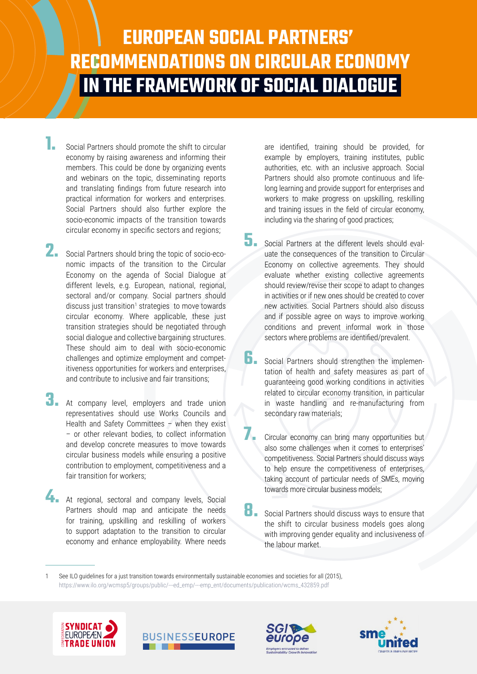# **EUROPEAN SOCIAL PARTNERS' RECOMMENDATIONS ON CIRCULAR ECONOMY IN THE FRAMEWORK OF SOCIAL DIALOGUE**

- **1.** Social Partners should promote the shift to circular economy by raising awareness and informing their members. This could be done by organizing events and webinars on the topic, disseminating reports and translating findings from future research into practical information for workers and enterprises. Social Partners should also further explore the socio-economic impacts of the transition towards circular economy in specific sectors and regions;
- **2.** Social Partners should bring the topic of socio-economic impacts of the transition to the Circular Economy on the agenda of Social Dialogue at different levels, e.g. European, national, regional, sectoral and/or company. Social partners should discuss just transition<sup>1</sup> strategies to move towards circular economy. Where applicable, these just transition strategies should be negotiated through social dialogue and collective bargaining structures. These should aim to deal with socio-economic challenges and optimize employment and competitiveness opportunities for workers and enterprises, and contribute to inclusive and fair transitions;
- **3.** At company level, employers and trade union representatives should use Works Councils and Health and Safety Committees – when they exist – or other relevant bodies, to collect information and develop concrete measures to move towards circular business models while ensuring a positive contribution to employment, competitiveness and a fair transition for workers;
- At regional, sectoral and company levels, Social Partners should map and anticipate the needs for training, upskilling and reskilling of workers to support adaptation to the transition to circular economy and enhance employability. Where needs

are identified, training should be provided, for example by employers, training institutes, public authorities, etc. with an inclusive approach. Social Partners should also promote continuous and lifelong learning and provide support for enterprises and workers to make progress on upskilling, reskilling and training issues in the field of circular economy, including via the sharing of good practices;

- **5.** Social Partners at the different levels should evaluate the consequences of the transition to Circular Economy on collective agreements. They should evaluate whether existing collective agreements should review/revise their scope to adapt to changes in activities or if new ones should be created to cover new activities. Social Partners should also discuss and if possible agree on ways to improve working conditions and prevent informal work in those sectors where problems are identified/prevalent.
- **6.** Social Partners should strengthen the implementation of health and safety measures as part of guaranteeing good working conditions in activities related to circular economy transition, in particular in waste handling and re-manufacturing from secondary raw materials;
	- **7.** Circular economy can bring many opportunities but also some challenges when it comes to enterprises' competitiveness. Social Partners should discuss ways to help ensure the competitiveness of enterprises, taking account of particular needs of SMEs, moving towards more circular business models;
- **8.** Social Partners should discuss ways to ensure that the shift to circular business models goes along with improving gender equality and inclusiveness of the labour market.

1 See ILO guidelines for a just transition towards environmentally sustainable economies and societies for all (2015), https://www.ilo.org/wcmsp5/groups/public/---ed\_emp/---emp\_ent/documents/publication/wcms\_432859.pdf